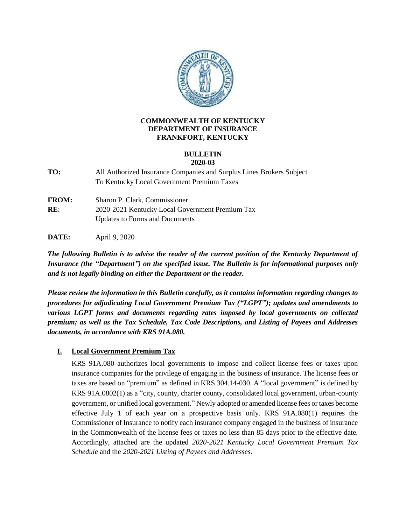

### **COMMONWEALTH OF KENTUCKY DEPARTMENT OF INSURANCE FRANKFORT, KENTUCKY**

#### **BULLETIN 2020-03**

**TO:** All Authorized Insurance Companies and Surplus Lines Brokers Subject To Kentucky Local Government Premium Taxes

**FROM:** Sharon P. Clark, Commissioner **RE**: 2020-2021 Kentucky Local Government Premium Tax Updates to Forms and Documents

**DATE:** April 9, 2020

*The following Bulletin is to advise the reader of the current position of the Kentucky Department of Insurance (the "Department") on the specified issue. The Bulletin is for informational purposes only and is not legally binding on either the Department or the reader.*

*Please review the information in this Bulletin carefully, as it contains information regarding changes to procedures for adjudicating Local Government Premium Tax ("LGPT"); updates and amendments to various LGPT forms and documents regarding rates imposed by local governments on collected premium; as well as the Tax Schedule, Tax Code Descriptions, and Listing of Payees and Addresses documents, in accordance with KRS 91A.080.*

## **I. Local Government Premium Tax**

KRS 91A.080 authorizes local governments to impose and collect license fees or taxes upon insurance companies for the privilege of engaging in the business of insurance. The license fees or taxes are based on "premium" as defined in KRS 304.14-030. A "local government" is defined by KRS 91A.0802(1) as a "city, county, charter county, consolidated local government, urban-county government, or unified local government." Newly adopted or amended license fees or taxes become effective July 1 of each year on a prospective basis only. KRS 91A.080(1) requires the Commissioner of Insurance to notify each insurance company engaged in the business of insurance in the Commonwealth of the license fees or taxes no less than 85 days prior to the effective date. Accordingly, attached are the updated *2020-2021 Kentucky Local Government Premium Tax Schedule* and the *2020-2021 Listing of Payees and Addresses*.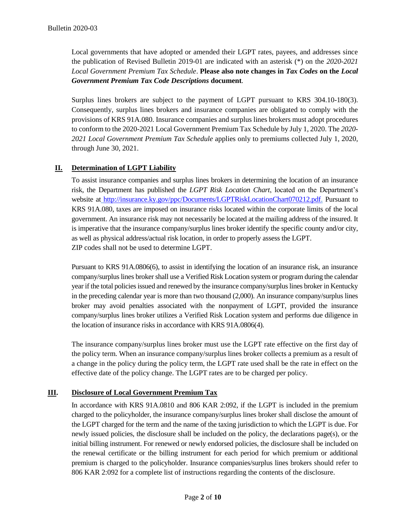Local governments that have adopted or amended their LGPT rates, payees, and addresses since the publication of Revised Bulletin 2019-01 are indicated with an asterisk (\*) on the *2020-2021 Local Government Premium Tax Schedule*. **Please also note changes in** *Tax Codes* **on the** *Local Government Premium Tax Code Descriptions* **document***.*

Surplus lines brokers are subject to the payment of LGPT pursuant to KRS 304.10-180(3). Consequently, surplus lines brokers and insurance companies are obligated to comply with the provisions of KRS 91A.080. Insurance companies and surplus lines brokers must adopt procedures to conform to the 2020-2021 Local Government Premium Tax Schedule by July 1, 2020. The *2020- 2021 Local Government Premium Tax Schedule* applies only to premiums collected July 1, 2020, through June 30, 2021.

## **II. Determination of LGPT Liability**

To assist insurance companies and surplus lines brokers in determining the location of an insurance risk, the Department has published the *LGPT Risk Location Chart*, located on the Department's website at [http://insurance.ky.gov/ppc/Documents/LGPTRiskLocationChart070212.pdf.](http://insurance.ky.gov/ppc/Documents/LGPTRiskLocationChart070212.pdf) Pursuant to KRS 91A.080, taxes are imposed on insurance risks located within the corporate limits of the local government. An insurance risk may not necessarily be located at the mailing address of the insured. It is imperative that the insurance company/surplus lines broker identify the specific county and/or city, as well as physical address/actual risk location, in order to properly assess the LGPT. ZIP codes shall not be used to determine LGPT.

Pursuant to KRS 91A.0806(6), to assist in identifying the location of an insurance risk, an insurance company/surplus lines broker shall use a Verified Risk Location system or program during the calendar year if the total policies issued and renewed by the insurance company/surplus lines broker in Kentucky in the preceding calendar year is more than two thousand (2,000). An insurance company/surplus lines broker may avoid penalties associated with the nonpayment of LGPT, provided the insurance company/surplus lines broker utilizes a Verified Risk Location system and performs due diligence in the location of insurance risks in accordance with KRS 91A.0806(4).

The insurance company/surplus lines broker must use the LGPT rate effective on the first day of the policy term. When an insurance company/surplus lines broker collects a premium as a result of a change in the policy during the policy term, the LGPT rate used shall be the rate in effect on the effective date of the policy change. The LGPT rates are to be charged per policy.

## **III. Disclosure of Local Government Premium Tax**

In accordance with KRS 91A.0810 and 806 KAR 2:092, if the LGPT is included in the premium charged to the policyholder, the insurance company/surplus lines broker shall disclose the amount of the LGPT charged for the term and the name of the taxing jurisdiction to which the LGPT is due. For newly issued policies, the disclosure shall be included on the policy, the declarations page(s), or the initial billing instrument. For renewed or newly endorsed policies, the disclosure shall be included on the renewal certificate or the billing instrument for each period for which premium or additional premium is charged to the policyholder. Insurance companies/surplus lines brokers should refer to 806 KAR 2:092 for a complete list of instructions regarding the contents of the disclosure.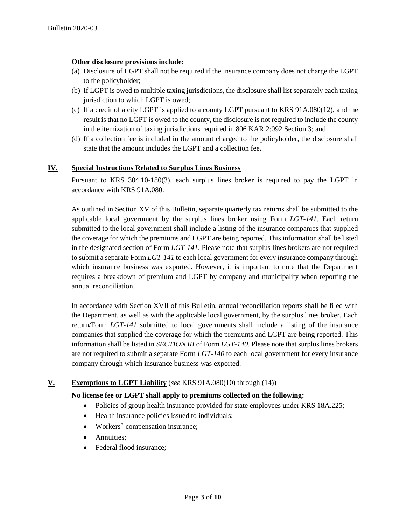### **Other disclosure provisions include:**

- (a) Disclosure of LGPT shall not be required if the insurance company does not charge the LGPT to the policyholder;
- (b) If LGPT is owed to multiple taxing jurisdictions, the disclosure shall list separately each taxing jurisdiction to which LGPT is owed;
- (c) If a credit of a city LGPT is applied to a county LGPT pursuant to KRS 91A.080(12), and the result is that no LGPT is owed to the county, the disclosure is not required to include the county in the itemization of taxing jurisdictions required in 806 KAR 2:092 Section 3; and
- (d) If a collection fee is included in the amount charged to the policyholder, the disclosure shall state that the amount includes the LGPT and a collection fee.

### **IV. Special Instructions Related to Surplus Lines Business**

Pursuant to KRS 304.10-180(3), each surplus lines broker is required to pay the LGPT in accordance with KRS 91A.080.

As outlined in Section XV of this Bulletin, separate quarterly tax returns shall be submitted to the applicable local government by the surplus lines broker using Form *LGT-141*. Each return submitted to the local government shall include a listing of the insurance companies that supplied the coverage for which the premiums and LGPT are being reported. This information shall be listed in the designated section of Form *LGT-141*. Please note that surplus lines brokers are not required to submit a separate Form *LGT-141* to each local government for every insurance company through which insurance business was exported. However, it is important to note that the Department requires a breakdown of premium and LGPT by company and municipality when reporting the annual reconciliation.

In accordance with Section XVII of this Bulletin, annual reconciliation reports shall be filed with the Department, as well as with the applicable local government, by the surplus lines broker. Each return/Form *LGT-141* submitted to local governments shall include a listing of the insurance companies that supplied the coverage for which the premiums and LGPT are being reported. This information shall be listed in *SECTION III* of Form *LGT-140*. Please note that surplus lines brokers are not required to submit a separate Form *LGT-140* to each local government for every insurance company through which insurance business was exported.

## **V. Exemptions to LGPT Liability** (*see* KRS 91A.080(10) through (14))

### **No license fee or LGPT shall apply to premiums collected on the following:**

- Policies of group health insurance provided for state employees under KRS 18A.225;
- Health insurance policies issued to individuals;
- Workers' compensation insurance;
- Annuities;
- Federal flood insurance;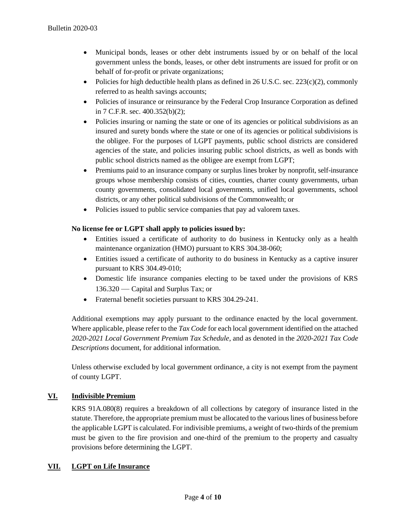- Municipal bonds, leases or other debt instruments issued by or on behalf of the local government unless the bonds, leases, or other debt instruments are issued for profit or on behalf of for-profit or private organizations;
- Policies for high deductible health plans as defined in 26 U.S.C. sec. 223(c)(2), commonly referred to as health savings accounts;
- Policies of insurance or reinsurance by the Federal Crop Insurance Corporation as defined in 7 C.F.R. sec. 400.352(b)(2);
- Policies insuring or naming the state or one of its agencies or political subdivisions as an insured and surety bonds where the state or one of its agencies or political subdivisions is the obligee. For the purposes of LGPT payments, public school districts are considered agencies of the state, and policies insuring public school districts, as well as bonds with public school districts named as the obligee are exempt from LGPT;
- Premiums paid to an insurance company or surplus lines broker by nonprofit, self-insurance groups whose membership consists of cities, counties, charter county governments, urban county governments, consolidated local governments, unified local governments, school districts, or any other political subdivisions of the Commonwealth; or
- Policies issued to public service companies that pay ad valorem taxes.

# **No license fee or LGPT shall apply to policies issued by:**

- Entities issued a certificate of authority to do business in Kentucky only as a health maintenance organization (HMO) pursuant to KRS 304.38-060;
- Entities issued a certificate of authority to do business in Kentucky as a captive insurer pursuant to KRS 304.49-010;
- Domestic life insurance companies electing to be taxed under the provisions of KRS 136.320 — Capital and Surplus Tax; or
- Fraternal benefit societies pursuant to KRS 304.29-241.

Additional exemptions may apply pursuant to the ordinance enacted by the local government. Where applicable, please refer to the *Tax Code* for each local government identified on the attached *2020-2021 Local Government Premium Tax Schedule*, and as denoted in the *2020-2021 Tax Code Descriptions* document, for additional information.

Unless otherwise excluded by local government ordinance, a city is not exempt from the payment of county LGPT.

# **VI. Indivisible Premium**

KRS 91A.080(8) requires a breakdown of all collections by category of insurance listed in the statute. Therefore, the appropriate premium must be allocated to the various lines of business before the applicable LGPT is calculated. For indivisible premiums, a weight of two-thirds of the premium must be given to the fire provision and one-third of the premium to the property and casualty provisions before determining the LGPT.

## **VII. LGPT on Life Insurance**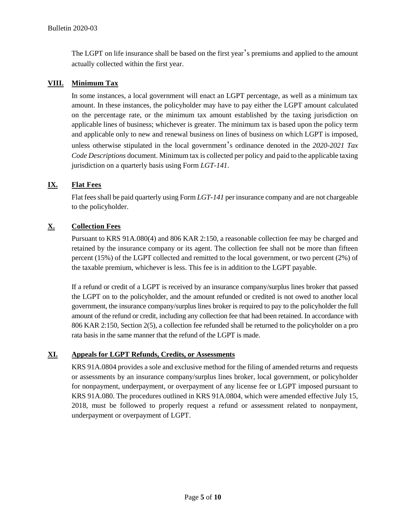The LGPT on life insurance shall be based on the first year's premiums and applied to the amount actually collected within the first year.

### **VIII. Minimum Tax**

In some instances, a local government will enact an LGPT percentage, as well as a minimum tax amount. In these instances, the policyholder may have to pay either the LGPT amount calculated on the percentage rate, or the minimum tax amount established by the taxing jurisdiction on applicable lines of business; whichever is greater. The minimum tax is based upon the policy term and applicable only to new and renewal business on lines of business on which LGPT is imposed, unless otherwise stipulated in the local government's ordinance denoted in the *2020-2021 Tax Code Descriptions* document. Minimum tax is collected per policy and paid to the applicable taxing jurisdiction on a quarterly basis using Form *LGT-141*.

## **IX. Flat Fees**

Flat fees shall be paid quarterly using Form *LGT-141* per insurance company and are not chargeable to the policyholder.

# **X. Collection Fees**

Pursuant to KRS 91A.080(4) and 806 KAR 2:150, a reasonable collection fee may be charged and retained by the insurance company or its agent. The collection fee shall not be more than fifteen percent (15%) of the LGPT collected and remitted to the local government, or two percent (2%) of the taxable premium, whichever is less. This fee is in addition to the LGPT payable.

If a refund or credit of a LGPT is received by an insurance company/surplus lines broker that passed the LGPT on to the policyholder, and the amount refunded or credited is not owed to another local government, the insurance company/surplus lines broker is required to pay to the policyholder the full amount of the refund or credit, including any collection fee that had been retained. In accordance with 806 KAR 2:150, Section 2(5), a collection fee refunded shall be returned to the policyholder on a pro rata basis in the same manner that the refund of the LGPT is made.

## **XI. Appeals for LGPT Refunds, Credits, or Assessments**

KRS 91A.0804 provides a sole and exclusive method for the filing of amended returns and requests or assessments by an insurance company/surplus lines broker, local government, or policyholder for nonpayment, underpayment, or overpayment of any license fee or LGPT imposed pursuant to KRS 91A.080. The procedures outlined in KRS 91A.0804, which were amended effective July 15, 2018, must be followed to properly request a refund or assessment related to nonpayment, underpayment or overpayment of LGPT.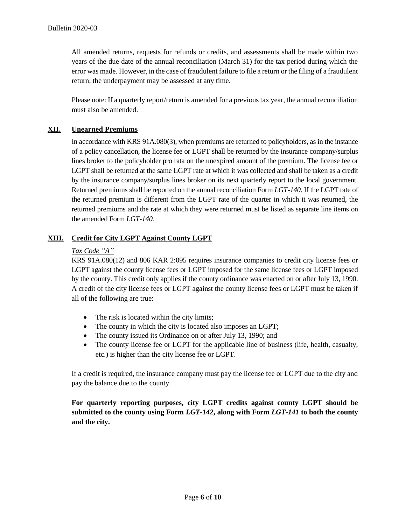All amended returns, requests for refunds or credits, and assessments shall be made within two years of the due date of the annual reconciliation (March 31) for the tax period during which the error was made. However, in the case of fraudulent failure to file a return or the filing of a fraudulent return, the underpayment may be assessed at any time.

Please note: If a quarterly report/return is amended for a previous tax year, the annual reconciliation must also be amended.

# **XII. Unearned Premiums**

In accordance with KRS 91A.080(3), when premiums are returned to policyholders, as in the instance of a policy cancellation, the license fee or LGPT shall be returned by the insurance company/surplus lines broker to the policyholder pro rata on the unexpired amount of the premium. The license fee or LGPT shall be returned at the same LGPT rate at which it was collected and shall be taken as a credit by the insurance company/surplus lines broker on its next quarterly report to the local government. Returned premiums shall be reported on the annual reconciliation Form *LGT-140*. If the LGPT rate of the returned premium is different from the LGPT rate of the quarter in which it was returned, the returned premiums and the rate at which they were returned must be listed as separate line items on the amended Form *LGT-140.*

## **XIII. Credit for City LGPT Against County LGPT**

## *Tax Code "A"*

KRS 91A.080(12) and 806 KAR 2:095 requires insurance companies to credit city license fees or LGPT against the county license fees or LGPT imposed for the same license fees or LGPT imposed by the county. This credit only applies if the county ordinance was enacted on or after July 13, 1990. A credit of the city license fees or LGPT against the county license fees or LGPT must be taken if all of the following are true:

- The risk is located within the city limits;
- The county in which the city is located also imposes an LGPT;
- The county issued its Ordinance on or after July 13, 1990; and
- The county license fee or LGPT for the applicable line of business (life, health, casualty, etc.) is higher than the city license fee or LGPT.

If a credit is required, the insurance company must pay the license fee or LGPT due to the city and pay the balance due to the county.

**For quarterly reporting purposes, city LGPT credits against county LGPT should be submitted to the county using Form** *LGT-142***, along with Form** *LGT-141* **to both the county and the city.**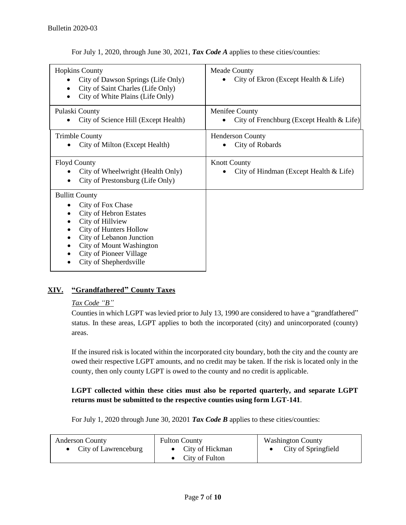For July 1, 2020, through June 30, 2021, *Tax Code A* applies to these cities/counties:

| <b>Hopkins County</b><br>City of Dawson Springs (Life Only)<br>City of Saint Charles (Life Only)<br>City of White Plains (Life Only)                                                                                                          | <b>Meade County</b><br>City of Ekron (Except Health & Life)   |
|-----------------------------------------------------------------------------------------------------------------------------------------------------------------------------------------------------------------------------------------------|---------------------------------------------------------------|
| Pulaski County<br>City of Science Hill (Except Health)                                                                                                                                                                                        | Menifee County<br>City of Frenchburg (Except Health & Life)   |
| <b>Trimble County</b><br>City of Milton (Except Health)                                                                                                                                                                                       | <b>Henderson County</b><br>City of Robards                    |
| <b>Floyd County</b><br>City of Wheelwright (Health Only)<br>City of Prestonsburg (Life Only)                                                                                                                                                  | <b>Knott County</b><br>City of Hindman (Except Health & Life) |
| <b>Bullitt County</b><br>City of Fox Chase<br><b>City of Hebron Estates</b><br>City of Hillview<br>City of Hunters Hollow<br>City of Lebanon Junction<br>City of Mount Washington<br><b>City of Pioneer Village</b><br>City of Shepherdsville |                                                               |

# **XIV. "Grandfathered" County Taxes**

## *Tax Code "B"*

Counties in which LGPT was levied prior to July 13, 1990 are considered to have a "grandfathered" status. In these areas, LGPT applies to both the incorporated (city) and unincorporated (county) areas.

If the insured risk is located within the incorporated city boundary, both the city and the county are owed their respective LGPT amounts, and no credit may be taken. If the risk is located only in the county, then only county LGPT is owed to the county and no credit is applicable.

## **LGPT collected within these cities must also be reported quarterly, and separate LGPT returns must be submitted to the respective counties using form LGT-141**.

For July 1, 2020 through June 30, 20201 *Tax Code B* applies to these cities/counties:

| <b>Anderson County</b> | <b>Fulton County</b>     | <b>Washington County</b> |
|------------------------|--------------------------|--------------------------|
| • City of Lawrenceburg | • City of Hickman        | City of Springfield      |
|                        | $\bullet$ City of Fulton |                          |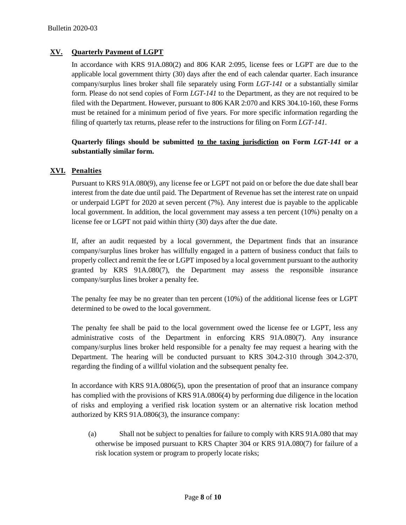## **XV. Quarterly Payment of LGPT**

In accordance with KRS 91A.080(2) and 806 KAR 2:095, license fees or LGPT are due to the applicable local government thirty (30) days after the end of each calendar quarter. Each insurance company/surplus lines broker shall file separately using Form *LGT-141* or a substantially similar form. Please do not send copies of Form *LGT-141* to the Department, as they are not required to be filed with the Department. However, pursuant to 806 KAR 2:070 and KRS 304.10-160, these Forms must be retained for a minimum period of five years. For more specific information regarding the filing of quarterly tax returns, please refer to the instructions for filing on Form *LGT-141*.

## **Quarterly filings should be submitted to the taxing jurisdiction on Form** *LGT-141* **or a substantially similar form.**

### **XVI. Penalties**

Pursuant to KRS 91A.080(9), any license fee or LGPT not paid on or before the due date shall bear interest from the date due until paid. The Department of Revenue has set the interest rate on unpaid or underpaid LGPT for 2020 at seven percent (7%). Any interest due is payable to the applicable local government. In addition, the local government may assess a ten percent (10%) penalty on a license fee or LGPT not paid within thirty (30) days after the due date.

If, after an audit requested by a local government, the Department finds that an insurance company/surplus lines broker has willfully engaged in a pattern of business conduct that fails to properly collect and remit the fee or LGPT imposed by a local government pursuant to the authority granted by KRS 91A.080(7), the Department may assess the responsible insurance company/surplus lines broker a penalty fee.

The penalty fee may be no greater than ten percent (10%) of the additional license fees or LGPT determined to be owed to the local government.

The penalty fee shall be paid to the local government owed the license fee or LGPT, less any administrative costs of the Department in enforcing KRS 91A.080(7). Any insurance company/surplus lines broker held responsible for a penalty fee may request a hearing with the Department. The hearing will be conducted pursuant to KRS 304.2-310 through 304.2-370, regarding the finding of a willful violation and the subsequent penalty fee.

In accordance with KRS 91A.0806(5), upon the presentation of proof that an insurance company has complied with the provisions of KRS 91A.0806(4) by performing due diligence in the location of risks and employing a verified risk location system or an alternative risk location method authorized by KRS 91A.0806(3), the insurance company:

(a) Shall not be subject to penalties for failure to comply with KRS 91A.080 that may otherwise be imposed pursuant to KRS Chapter 304 or KRS 91A.080(7) for failure of a risk location system or program to properly locate risks;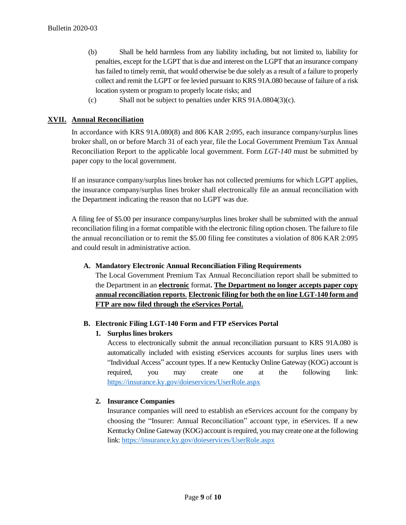- (b) Shall be held harmless from any liability including, but not limited to, liability for penalties, except for the LGPT that is due and interest on the LGPT that an insurance company has failed to timely remit, that would otherwise be due solely as a result of a failure to properly collect and remit the LGPT or fee levied pursuant to KRS 91A.080 because of failure of a risk location system or program to properly locate risks; and
- (c) Shall not be subject to penalties under KRS 91A.0804(3)(c).

## **XVII. Annual Reconciliation**

In accordance with KRS 91A.080(8) and 806 KAR 2:095, each insurance company/surplus lines broker shall, on or before March 31 of each year, file the Local Government Premium Tax Annual Reconciliation Report to the applicable local government. Form *LGT-140* must be submitted by paper copy to the local government.

If an insurance company/surplus lines broker has not collected premiums for which LGPT applies, the insurance company/surplus lines broker shall electronically file an annual reconciliation with the Department indicating the reason that no LGPT was due.

A filing fee of \$5.00 per insurance company/surplus lines broker shall be submitted with the annual reconciliation filing in a format compatible with the electronic filing option chosen. The failure to file the annual reconciliation or to remit the \$5.00 filing fee constitutes a violation of 806 KAR 2:095 and could result in administrative action.

### **A. Mandatory Electronic Annual Reconciliation Filing Requirements**

The Local Government Premium Tax Annual Reconciliation report shall be submitted to the Department in an **electronic** format**. The Department no longer accepts paper copy annual reconciliation reports**. **Electronic filing for both the on line LGT-140 form and FTP are now filed through the eServices Portal.**

### **B. Electronic Filing LGT-140 Form and FTP eServices Portal**

## **1. Surplus lines brokers**

Access to electronically submit the annual reconciliation pursuant to KRS 91A.080 is automatically included with existing eServices accounts for surplus lines users with "Individual Access" account types. If a new Kentucky Online Gateway (KOG) account is required, you may create one at the following link: <https://insurance.ky.gov/doieservices/UserRole.aspx>

## **2. Insurance Companies**

Insurance companies will need to establish an eServices account for the company by choosing the "Insurer: Annual Reconciliation" account type, in eServices. If a new Kentucky Online Gateway (KOG) account is required, you may create one at the following link[: https://insurance.ky.gov/doieservices/UserRole.aspx](https://insurance.ky.gov/doieservices/UserRole.aspx)